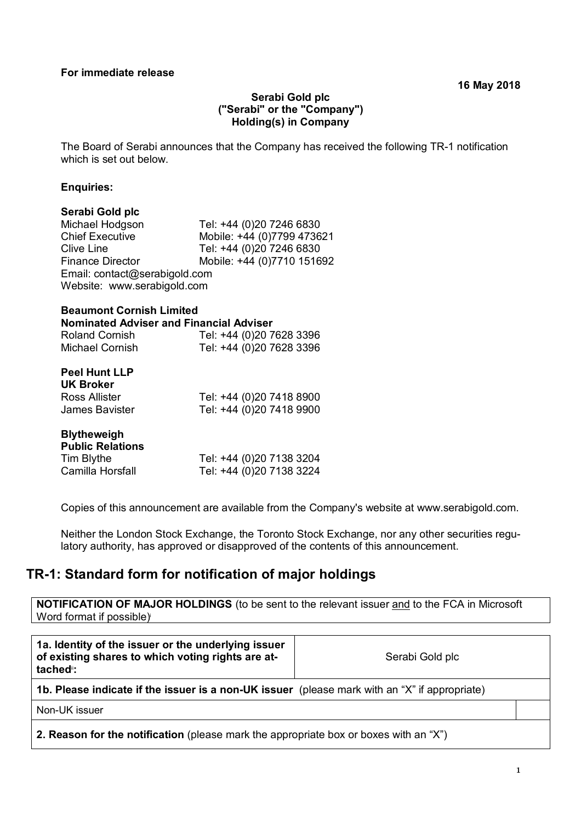### **Serabi Gold plc ("Serabi" or the "Company") Holding(s) in Company**

The Board of Serabi announces that the Company has received the following TR-1 notification which is set out below.

#### **Enquiries:**

# **Serabi Gold plc**

Tel: +44 (0)20 7246 6830 Chief Executive Mobile: +44 (0)7799 473621<br>Clive Line Tel: +44 (0)20 7246 6830 Tel: +44 (0)20 7246 6830 Finance Director Mobile: +44 (0)7710 151692 Email: contact@serabigold.com Website: www.serabigold.com

# **Beaumont Cornish Limited Nominated Adviser and Financial Adviser**

| <b>Roland Cornish</b> | Tel: +44 (0)20 7628 3396 |
|-----------------------|--------------------------|
| Michael Cornish       | Tel: +44 (0)20 7628 3396 |

| <b>Peel Hunt LLP</b><br><b>UK Broker</b> |                          |
|------------------------------------------|--------------------------|
| Ross Allister                            | Tel: +44 (0)20 7418 8900 |
| James Bavister                           | Tel: +44 (0)20 7418 9900 |

| <b>Blytheweigh</b><br><b>Public Relations</b> |                          |
|-----------------------------------------------|--------------------------|
| Tim Blythe                                    | Tel: +44 (0)20 7138 3204 |
| Camilla Horsfall                              | Tel: +44 (0)20 7138 3224 |

Copies of this announcement are available from the Company's website at www.serabigold.com.

Neither the London Stock Exchange, the Toronto Stock Exchange, nor any other securities regulatory authority, has approved or disapproved of the contents of this announcement.

# **TR-1: Standard form for notification of major holdings**

**NOTIFICATION OF MAJOR HOLDINGS** (to be sent to the relevant issuer and to the FCA in Microsoft Word format if possible)

| 1a. Identity of the issuer or the underlying issuer<br>of existing shares to which voting rights are at-<br>tached <sup>"</sup> : | Serabi Gold plc |  |
|-----------------------------------------------------------------------------------------------------------------------------------|-----------------|--|
| 1b. Please indicate if the issuer is a non-UK issuer (please mark with an "X" if appropriate)                                     |                 |  |
| Non-UK issuer                                                                                                                     |                 |  |
| <b>2. Reason for the notification</b> (please mark the appropriate box or boxes with an "X")                                      |                 |  |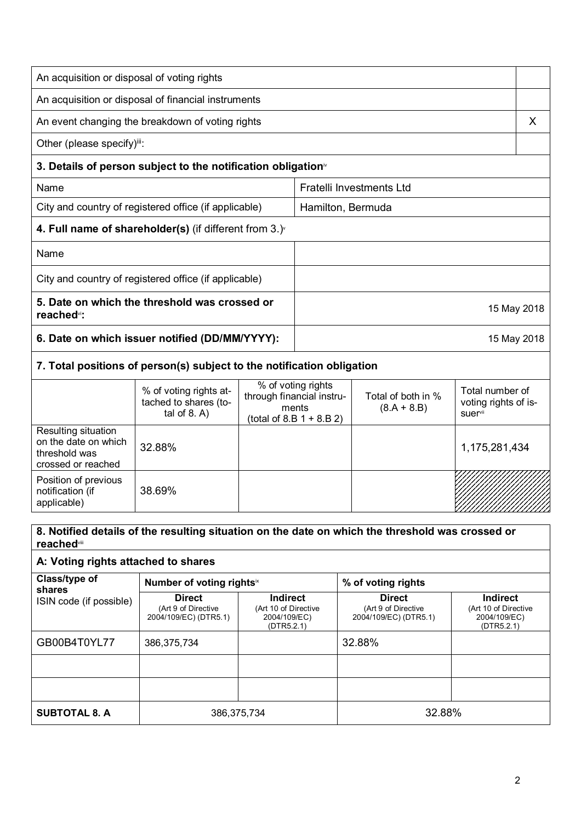| An acquisition or disposal of voting rights                              |                                                                          |                   |                                                          |                                          |                                         |
|--------------------------------------------------------------------------|--------------------------------------------------------------------------|-------------------|----------------------------------------------------------|------------------------------------------|-----------------------------------------|
|                                                                          | An acquisition or disposal of financial instruments                      |                   |                                                          |                                          |                                         |
|                                                                          | An event changing the breakdown of voting rights                         |                   |                                                          |                                          | X                                       |
| Other (please specify) <sup>iii</sup> :                                  |                                                                          |                   |                                                          |                                          |                                         |
|                                                                          | 3. Details of person subject to the notification obligation <sup>®</sup> |                   |                                                          |                                          |                                         |
| Name                                                                     |                                                                          |                   |                                                          | <b>Fratelli Investments Ltd</b>          |                                         |
| City and country of registered office (if applicable)                    |                                                                          | Hamilton, Bermuda |                                                          |                                          |                                         |
|                                                                          | 4. Full name of shareholder(s) (if different from $3.$ ) $\check{ }$     |                   |                                                          |                                          |                                         |
| Name                                                                     |                                                                          |                   |                                                          |                                          |                                         |
|                                                                          | City and country of registered office (if applicable)                    |                   |                                                          |                                          |                                         |
| 5. Date on which the threshold was crossed or<br>reached <sup>vi</sup> : |                                                                          |                   |                                                          | 15 May 2018                              |                                         |
| 6. Date on which issuer notified (DD/MM/YYYY):                           |                                                                          |                   |                                                          | 15 May 2018                              |                                         |
|                                                                          | 7. Total positions of person(s) subject to the notification obligation   |                   |                                                          |                                          |                                         |
|                                                                          | % of voting rights at-<br>tached to shares (to-                          |                   | % of voting rights<br>through financial instru-<br>mante | Total of both in %<br>$(2 \Delta + 2 R)$ | Total number of<br>voting rights of is- |

|                                                                                    | % or voting rights at-<br>tached to shares (to-<br>tal of $8. A$ ) | through financial instru-<br>ments<br>(total of 8.B $1 + 8.B 2$ ) | Total of both in %<br>$(8.A + 8.B)$ | Total number of<br>voting rights of is-<br><b>suer</b> <sup>vii</sup> |
|------------------------------------------------------------------------------------|--------------------------------------------------------------------|-------------------------------------------------------------------|-------------------------------------|-----------------------------------------------------------------------|
| Resulting situation<br>on the date on which<br>threshold was<br>crossed or reached | 32.88%                                                             |                                                                   |                                     | 1,175,281,434                                                         |
| Position of previous<br>notification (if<br>applicable)                            | 38.69%                                                             |                                                                   |                                     |                                                                       |

## **8. Notified details of the resulting situation on the date on which the threshold was crossed or reached**viii

#### **A: Voting rights attached to shares Class/type of shares**  ISIN code (if possible) Number of voting rights<sup>ix</sup> **x** | % of voting rights **Direct**  (Art 9 of Directive 2004/109/EC) (DTR5.1) **Indirect** (Art 10 of Directive 2004/109/EC) (DTR5.2.1) **Direct**  (Art 9 of Directive 2004/109/EC) (DTR5.1) **Indirect**  (Art 10 of Directive 2004/109/EC) (DTR5.2.1) GB00B4T0YL77 | 386,375,734 | 32.88% **SUBTOTAL 8. A**  $\vert$  386,375,734  $\vert$  32.88%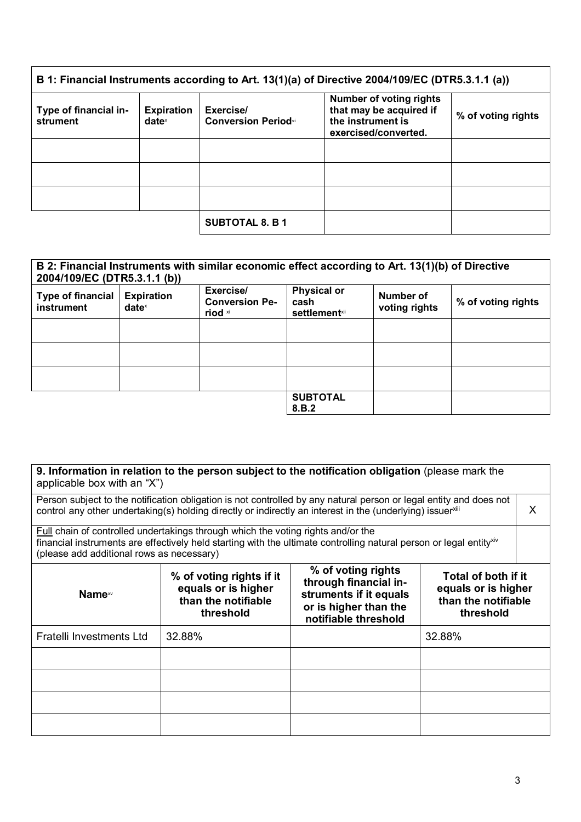| B 1: Financial Instruments according to Art. 13(1)(a) of Directive 2004/109/EC (DTR5.3.1.1 (a)) |                                      |                                                     |                                                                                                        |                    |
|-------------------------------------------------------------------------------------------------|--------------------------------------|-----------------------------------------------------|--------------------------------------------------------------------------------------------------------|--------------------|
| Type of financial in-<br>strument                                                               | <b>Expiration</b><br>$date^{\times}$ | Exercise/<br><b>Conversion Period</b> <sup>xi</sup> | <b>Number of voting rights</b><br>that may be acquired if<br>the instrument is<br>exercised/converted. | % of voting rights |
|                                                                                                 |                                      |                                                     |                                                                                                        |                    |
|                                                                                                 |                                      |                                                     |                                                                                                        |                    |
|                                                                                                 |                                      |                                                     |                                                                                                        |                    |
|                                                                                                 |                                      | <b>SUBTOTAL 8. B 1</b>                              |                                                                                                        |                    |

| B 2: Financial Instruments with similar economic effect according to Art. 13(1)(b) of Directive<br>2004/109/EC (DTR5.3.1.1 (b)) |                                                        |                                               |                                                     |                            |                    |
|---------------------------------------------------------------------------------------------------------------------------------|--------------------------------------------------------|-----------------------------------------------|-----------------------------------------------------|----------------------------|--------------------|
| <b>Type of financial</b><br>instrument                                                                                          | <b>Expiration</b><br>$date^{\scriptscriptstyle\times}$ | Exercise/<br><b>Conversion Pe-</b><br>riod xi | <b>Physical or</b><br>cash<br><b>settlement</b> xii | Number of<br>voting rights | % of voting rights |
|                                                                                                                                 |                                                        |                                               |                                                     |                            |                    |
|                                                                                                                                 |                                                        |                                               |                                                     |                            |                    |
|                                                                                                                                 |                                                        |                                               |                                                     |                            |                    |
|                                                                                                                                 |                                                        |                                               | <b>SUBTOTAL</b><br>8.B.2                            |                            |                    |

**9. Information in relation to the person subject to the notification obligation** (please mark the applicable box with an "X")

| Person subject to the notification obligation is not controlled by any natural person or legal entity and does not<br>control any other undertaking(s) holding directly or indirectly an interest in the (underlying) issuerxill                                        |                                                                                     |                                                                                                                        |                                                                                | X |
|-------------------------------------------------------------------------------------------------------------------------------------------------------------------------------------------------------------------------------------------------------------------------|-------------------------------------------------------------------------------------|------------------------------------------------------------------------------------------------------------------------|--------------------------------------------------------------------------------|---|
| <b>Full chain of controlled undertakings through which the voting rights and/or the</b><br>financial instruments are effectively held starting with the ultimate controlling natural person or legal entity <sup>xiv</sup><br>(please add additional rows as necessary) |                                                                                     |                                                                                                                        |                                                                                |   |
| <b>Name</b> <sup><i>w</i></sup>                                                                                                                                                                                                                                         | % of voting rights if it<br>equals or is higher<br>than the notifiable<br>threshold | % of voting rights<br>through financial in-<br>struments if it equals<br>or is higher than the<br>notifiable threshold | Total of both if it<br>equals or is higher<br>than the notifiable<br>threshold |   |
| Fratelli Investments Ltd                                                                                                                                                                                                                                                | 32.88%                                                                              |                                                                                                                        | 32.88%                                                                         |   |
|                                                                                                                                                                                                                                                                         |                                                                                     |                                                                                                                        |                                                                                |   |
|                                                                                                                                                                                                                                                                         |                                                                                     |                                                                                                                        |                                                                                |   |
|                                                                                                                                                                                                                                                                         |                                                                                     |                                                                                                                        |                                                                                |   |
|                                                                                                                                                                                                                                                                         |                                                                                     |                                                                                                                        |                                                                                |   |